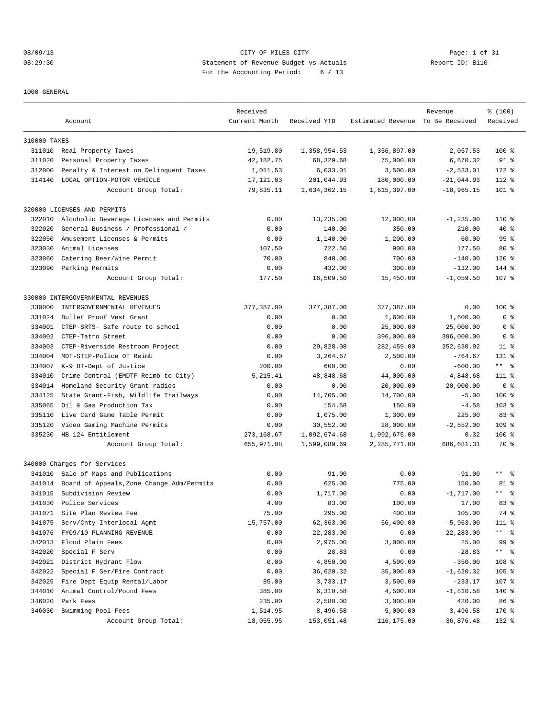# 08/09/13 Page: 1 of 31 08:29:30 Statement of Revenue Budget vs Actuals Report ID: B110 For the Accounting Period: 6 / 13

1000 GENERAL

|              | Account                                   | Received<br>Current Month | Received YTD | Estimated Revenue To Be Received | Revenue       | % (100)<br>Received  |
|--------------|-------------------------------------------|---------------------------|--------------|----------------------------------|---------------|----------------------|
|              |                                           |                           |              |                                  |               |                      |
| 310000 TAXES |                                           |                           |              |                                  |               |                      |
|              | 311010 Real Property Taxes                | 19,519.80                 | 1,358,954.53 | 1,356,897.00                     | $-2,057.53$   | $100*$               |
| 311020       | Personal Property Taxes                   | 42,182.75                 | 68,329.68    | 75,000.00                        | 6,670.32      | $91$ %               |
| 312000       | Penalty & Interest on Delinquent Taxes    | 1,011.53                  | 6,033.01     | 3,500.00                         | $-2,533.01$   | 172 %                |
| 314140       | LOCAL OPTION-MOTOR VEHICLE                | 17, 121.03                | 201,044.93   | 180,000.00                       | $-21,044.93$  | 112 %                |
|              | Account Group Total:                      | 79,835.11                 | 1,634,362.15 | 1,615,397.00                     | $-18,965.15$  | $101$ %              |
|              | 320000 LICENSES AND PERMITS               |                           |              |                                  |               |                      |
| 322010       | Alcoholic Beverage Licenses and Permits   | 0.00                      | 13,235.00    | 12,000.00                        | $-1, 235.00$  | 110 %                |
| 322020       | General Business / Professional /         | 0.00                      | 140.00       | 350.00                           | 210.00        | 40 %                 |
| 322050       | Amusement Licenses & Permits              | 0.00                      | 1,140.00     | 1,200.00                         | 60.00         | 95%                  |
| 323030       | Animal Licenses                           | 107.50                    | 722.50       | 900.00                           | 177.50        | $80*$                |
| 323060       | Catering Beer/Wine Permit                 | 70.00                     | 840.00       | 700.00                           | $-140.00$     | 120 %                |
| 323090       | Parking Permits                           | 0.00                      | 432.00       | 300.00                           | $-132.00$     | 144 %                |
|              | Account Group Total:                      | 177.50                    | 16,509.50    | 15,450.00                        | $-1,059.50$   | 107 %                |
|              |                                           |                           |              |                                  |               |                      |
|              | 330000 INTERGOVERNMENTAL REVENUES         |                           |              |                                  |               |                      |
| 330000       | INTERGOVERNMENTAL REVENUES                | 377,387.00                | 377,387.00   | 377,387.00                       | 0.00          | $100*$               |
| 331024       | Bullet Proof Vest Grant                   | 0.00                      | 0.00         | 1,600.00                         | 1,600.00      | 0 <sup>8</sup>       |
| 334001       | CTEP-SRTS- Safe route to school           | 0.00                      | 0.00         | 25,000.00                        | 25,000.00     | 0 <sup>8</sup>       |
| 334002       | CTEP-Tatro Street                         | 0.00                      | 0.00         | 396,000.00                       | 396,000.00    | 0 %                  |
| 334003       | CTEP-Riverside Restroom Project           | 0.00                      | 29,828.08    | 282,459.00                       | 252,630.92    | $11$ %               |
| 334004       | MDT-STEP-Police OT Reimb                  | 0.00                      | 3,264.67     | 2,500.00                         | $-764.67$     | 131 %                |
| 334007       | K-9 OT-Dept of Justice                    | 200.00                    | 600.00       | 0.00                             | $-600.00$     | $***$ 8              |
| 334010       | Crime Control (EMDTF-Reimb to City)       | 5, 215.41                 | 48,848.68    | 44,000.00                        | $-4,848.68$   | 111 %                |
| 334014       | Homeland Security Grant-radios            | 0.00                      | 0.00         | 20,000.00                        | 20,000.00     | 0 <sup>8</sup>       |
| 334125       | State Grant-Fish, Wildlife Trailways      | 0.00                      | 14,705.00    | 14,700.00                        | $-5.00$       | $100*$               |
| 335065       | Oil & Gas Production Tax                  | 0.00                      | 154.58       | 150.00                           | $-4.58$       | $103$ %              |
| 335110       | Live Card Game Table Permit               | 0.00                      | 1,075.00     | 1,300.00                         | 225.00        | 83%                  |
| 335120       | Video Gaming Machine Permits              | 0.00                      | 30,552.00    | 28,000.00                        | $-2,552.00$   | 109 %                |
| 335230       | HB 124 Entitlement                        | 273, 168.67               | 1,092,674.68 | 1,092,675.00                     | 0.32          | $100$ %              |
|              | Account Group Total:                      | 655,971.08                | 1,599,089.69 | 2,285,771.00                     | 686,681.31    | 70 %                 |
|              | 340000 Charges for Services               |                           |              |                                  |               |                      |
| 341010       | Sale of Maps and Publications             | 0.00                      | 91.00        | 0.00                             | $-91.00$      | $***$ $ \frac{6}{9}$ |
| 341014       | Board of Appeals, Zone Change Adm/Permits | 0.00                      | 625.00       | 775.00                           | 150.00        | 81 %                 |
| 341015       | Subdivision Review                        | 0.00                      | 1,717.00     | 0.00                             | $-1,717.00$   | $***$ 8              |
| 341030       | Police Services                           | 4.00                      | 83.00        | 100.00                           | 17.00         | 83%                  |
| 341071       | Site Plan Review Fee                      | 75.00                     | 295.00       | 400.00                           | 105.00        | 74 %                 |
| 341075       | Serv/Cnty-Interlocal Agmt                 | 15,757.00                 | 62,363.00    | 56,400.00                        | $-5,963.00$   | 111 %                |
| 341076       | FY09/10 PLANNING REVENUE                  | 0.00                      | 22,283.00    | 0.00                             | $-22, 283.00$ | $***$ $ \frac{6}{9}$ |
| 342013       | Flood Plain Fees                          | 0.00                      | 2,975.00     | 3,000.00                         | 25.00         | 99 %                 |
| 342020       | Special F Serv                            | 0.00                      | 28.83        | 0.00                             | $-28.83$      | ** %                 |
| 342021       | District Hydrant Flow                     | 0.00                      | 4,850.00     | 4,500.00                         | $-350.00$     | 108 <sup>8</sup>     |
| 342022       | Special F Ser/Fire Contract               | 0.00                      | 36,620.32    | 35,000.00                        | $-1,620.32$   | $105$ %              |
| 342025       | Fire Dept Equip Rental/Labor              | 85.00                     | 3,733.17     | 3,500.00                         | $-233.17$     | $107$ %              |
| 344010       | Animal Control/Pound Fees                 | 385.00                    | 6,310.58     | 4,500.00                         | $-1,810.58$   | $140*$               |
| 346020       | Park Fees                                 | 235.00                    | 2,580.00     | 3,000.00                         | 420.00        | 86 %                 |
| 346030       | Swimming Pool Fees                        | 1,514.95                  | 8,496.58     | 5,000.00                         | $-3,496.58$   | 170 %                |
|              | Account Group Total:                      | 18,055.95                 | 153,051.48   | 116,175.00                       | $-36,876.48$  | 132 %                |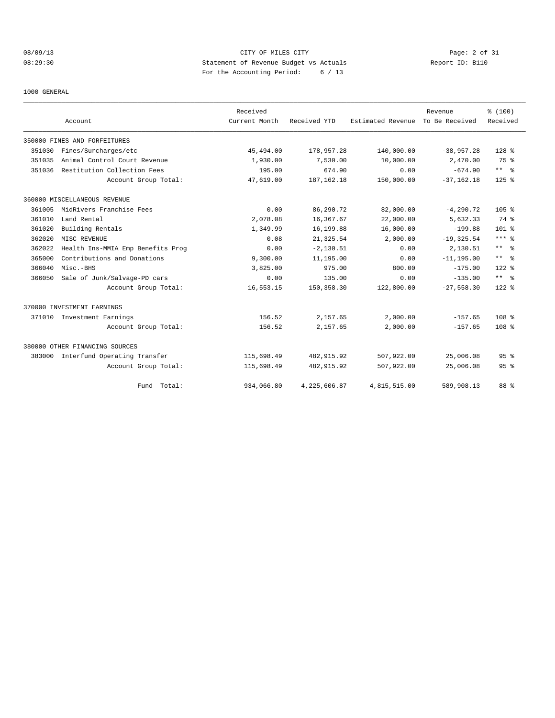# 08/09/13 Page: 2 of 31 08:29:30 Statement of Revenue Budget vs Actuals Report ID: B110 For the Accounting Period: 6 / 13

#### 1000 GENERAL

|        | Account                             | Received<br>Current Month | Received YTD | Estimated Revenue | Revenue<br>To Be Received | % (100)<br>Received  |
|--------|-------------------------------------|---------------------------|--------------|-------------------|---------------------------|----------------------|
|        |                                     |                           |              |                   |                           |                      |
|        | 350000 FINES AND FORFEITURES        |                           |              |                   |                           |                      |
| 351030 | Fines/Surcharges/etc                | 45,494.00                 | 178,957.28   | 140,000.00        | $-38,957.28$              | 128 %                |
| 351035 | Animal Control Court Revenue        | 1,930.00                  | 7,530.00     | 10,000.00         | 2,470.00                  | 75 %                 |
| 351036 | Restitution Collection Fees         | 195.00                    | 674.90       | 0.00              | $-674.90$                 | $***$ $ -$           |
|        | Account Group Total:                | 47,619.00                 | 187, 162. 18 | 150,000.00        | $-37, 162, 18$            | $125$ %              |
|        | 360000 MISCELLANEOUS REVENUE        |                           |              |                   |                           |                      |
| 361005 | MidRivers Franchise Fees            | 0.00                      | 86,290.72    | 82,000.00         | $-4, 290.72$              | 105%                 |
| 361010 | Land Rental                         | 2,078.08                  | 16,367.67    | 22,000.00         | 5,632.33                  | 74 %                 |
| 361020 | Building Rentals                    | 1,349.99                  | 16,199.88    | 16,000.00         | $-199.88$                 | 101 <sub>8</sub>     |
| 362020 | MISC REVENUE                        | 0.08                      | 21, 325.54   | 2,000.00          | $-19, 325.54$             | $***$ $%$            |
| 362022 | Health Ins-MMIA Emp Benefits Prog   | 0.00                      | $-2,130.51$  | 0.00              | 2,130.51                  | $***$ $ \frac{6}{9}$ |
| 365000 | Contributions and Donations         | 9,300.00                  | 11,195.00    | 0.00              | $-11, 195.00$             | $***$ $\approx$      |
| 366040 | Misc.-BHS                           | 3,825.00                  | 975.00       | 800.00            | $-175.00$                 | $122*$               |
| 366050 | Sale of Junk/Salvage-PD cars        | 0.00                      | 135.00       | 0.00              | $-135.00$                 | $***$ $ \frac{6}{6}$ |
|        | Account Group Total:                | 16,553.15                 | 150,358.30   | 122,800.00        | $-27.558.30$              | $122$ $%$            |
|        | 370000 INVESTMENT EARNINGS          |                           |              |                   |                           |                      |
|        | 371010 Investment Earnings          | 156.52                    | 2,157.65     | 2,000.00          | $-157.65$                 | 108 %                |
|        | Account Group Total:                | 156.52                    | 2,157.65     | 2,000.00          | $-157.65$                 | 108 <sup>8</sup>     |
|        | 380000 OTHER FINANCING SOURCES      |                           |              |                   |                           |                      |
|        | 383000 Interfund Operating Transfer | 115,698.49                | 482, 915.92  | 507,922.00        | 25,006.08                 | 95 <sup>8</sup>      |
|        | Account Group Total:                | 115,698.49                | 482, 915.92  | 507,922.00        | 25,006.08                 | 95 <sup>8</sup>      |
|        | Fund Total:                         | 934,066.80                | 4,225,606.87 | 4,815,515.00      | 589,908.13                | 88 %                 |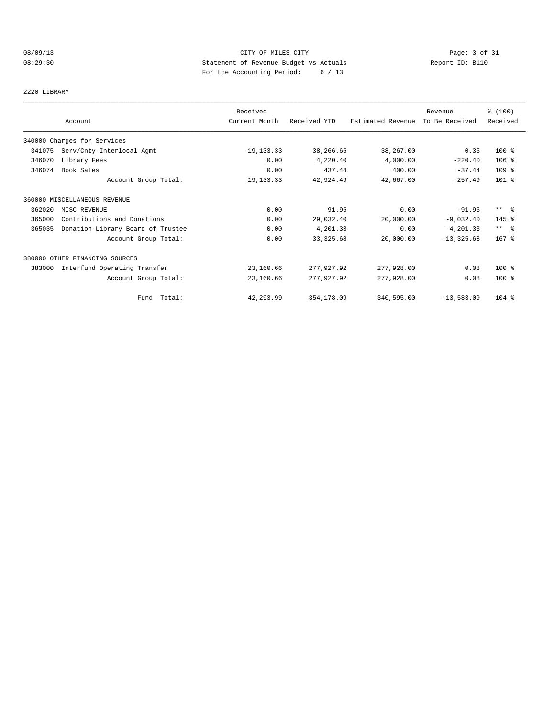# 08/09/13 CITY OF MILES CITY Page: 3 of 31 08:29:30 Statement of Revenue Budget vs Actuals Report ID: B110 For the Accounting Period: 6 / 13

#### 2220 LIBRARY

|        |                                   | Received      |              |                   | Revenue        | \$(100)              |
|--------|-----------------------------------|---------------|--------------|-------------------|----------------|----------------------|
|        | Account                           | Current Month | Received YTD | Estimated Revenue | To Be Received | Received             |
|        | 340000 Charges for Services       |               |              |                   |                |                      |
| 341075 | Serv/Cnty-Interlocal Agmt         | 19, 133. 33   | 38,266.65    | 38,267.00         | 0.35           | $100*$               |
| 346070 | Library Fees                      | 0.00          | 4,220.40     | 4,000.00          | $-220.40$      | $106$ %              |
| 346074 | Book Sales                        | 0.00          | 437.44       | 400.00            | $-37.44$       | $109$ %              |
|        | Account Group Total:              | 19, 133. 33   | 42,924.49    | 42,667.00         | $-257.49$      | $101$ %              |
|        | 360000 MISCELLANEOUS REVENUE      |               |              |                   |                |                      |
| 362020 | MISC REVENUE                      | 0.00          | 91.95        | 0.00              | $-91.95$       | $***$ $\approx$      |
| 365000 | Contributions and Donations       | 0.00          | 29,032.40    | 20,000.00         | $-9,032.40$    | 145 %                |
| 365035 | Donation-Library Board of Trustee | 0.00          | 4,201.33     | 0.00              | $-4, 201.33$   | $***$ $ \frac{6}{6}$ |
|        | Account Group Total:              | 0.00          | 33, 325.68   | 20,000.00         | $-13, 325.68$  | $167$ %              |
|        | 380000 OTHER FINANCING SOURCES    |               |              |                   |                |                      |
| 383000 | Interfund Operating Transfer      | 23,160.66     | 277,927.92   | 277,928.00        | 0.08           | $100*$               |
|        | Account Group Total:              | 23,160.66     | 277,927.92   | 277,928.00        | 0.08           | $100*$               |
|        | Fund Total:                       | 42,293.99     | 354,178.09   | 340,595.00        | $-13,583.09$   | $104$ %              |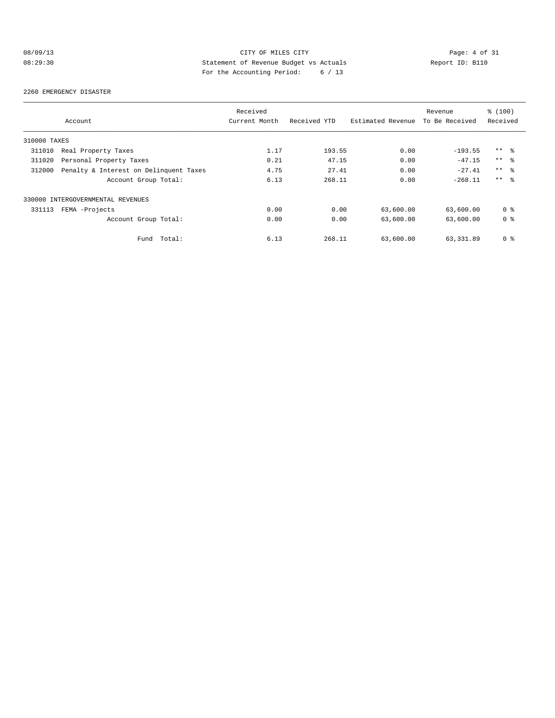# 08/09/13 Page: 4 of 31 08:29:30 Statement of Revenue Budget vs Actuals Report ID: B110 For the Accounting Period: 6 / 13

#### 2260 EMERGENCY DISASTER

|              |                                        | Received      |              |                   | Revenue        | % (100)         |
|--------------|----------------------------------------|---------------|--------------|-------------------|----------------|-----------------|
|              | Account                                | Current Month | Received YTD | Estimated Revenue | To Be Received | Received        |
| 310000 TAXES |                                        |               |              |                   |                |                 |
| 311010       | Real Property Taxes                    | 1.17          | 193.55       | 0.00              | $-193.55$      | $***$ %         |
| 311020       | Personal Property Taxes                | 0.21          | 47.15        | 0.00              | $-47.15$       | $***$ $\approx$ |
| 312000       | Penalty & Interest on Delinquent Taxes | 4.75          | 27.41        | 0.00              | $-27.41$       | $***$ $\approx$ |
|              | Account Group Total:                   | 6.13          | 268.11       | 0.00              | $-268.11$      | $***$ $\approx$ |
|              | 330000 INTERGOVERNMENTAL REVENUES      |               |              |                   |                |                 |
| 331113       | FEMA -Projects                         | 0.00          | 0.00         | 63,600.00         | 63,600.00      | 0 <sup>8</sup>  |
|              | Account Group Total:                   | 0.00          | 0.00         | 63,600.00         | 63,600.00      | 0 <sup>8</sup>  |
|              | Total:<br>Fund                         | 6.13          | 268.11       | 63,600.00         | 63, 331, 89    | 0 <sup>8</sup>  |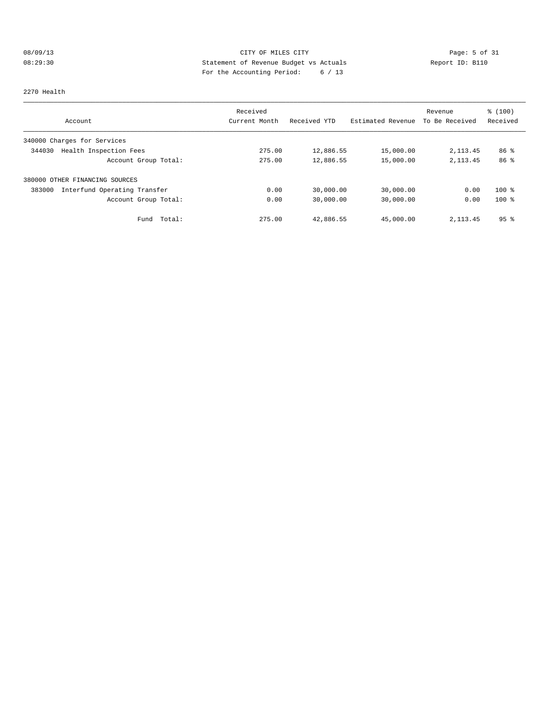# 08/09/13 Page: 5 of 31 08:29:30 Statement of Revenue Budget vs Actuals Report ID: B110 For the Accounting Period: 6 / 13

#### 2270 Health

|                                        | Received      |              |                   | Revenue        | % (100)         |
|----------------------------------------|---------------|--------------|-------------------|----------------|-----------------|
| Account                                | Current Month | Received YTD | Estimated Revenue | To Be Received | Received        |
| 340000 Charges for Services            |               |              |                   |                |                 |
| Health Inspection Fees<br>344030       | 275.00        | 12,886.55    | 15,000.00         | 2,113.45       | 86 <sup>8</sup> |
| Account Group Total:                   | 275.00        | 12,886.55    | 15,000.00         | 2, 113.45      | 86 <sup>8</sup> |
| 380000 OTHER FINANCING SOURCES         |               |              |                   |                |                 |
| Interfund Operating Transfer<br>383000 | 0.00          | 30,000.00    | 30,000.00         | 0.00           | $100*$          |
| Account Group Total:                   | 0.00          | 30,000.00    | 30,000.00         | 0.00           | $100*$          |
| Total:<br>Fund                         | 275.00        | 42,886.55    | 45,000.00         | 2, 113.45      | 95 <sup>8</sup> |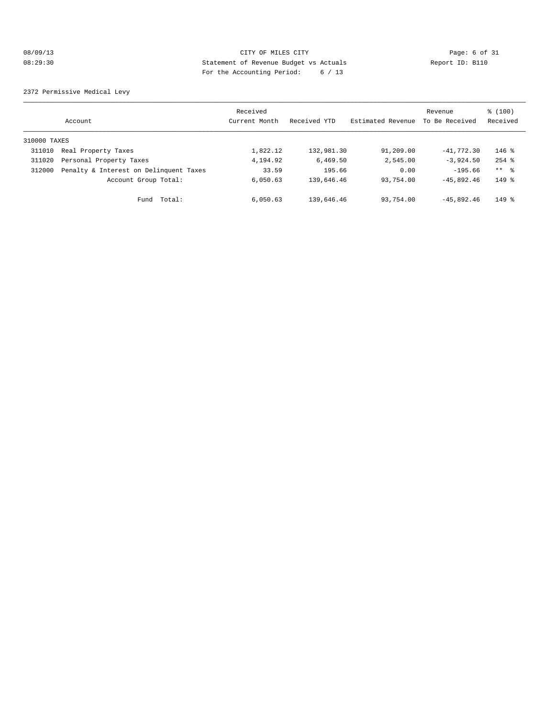# 08/09/13 CITY OF MILES CITY Page: 6 of 31 08:29:30 Statement of Revenue Budget vs Actuals Report ID: B110 For the Accounting Period: 6 / 13

2372 Permissive Medical Levy

|              | Account                                | Received<br>Current Month | Received YTD | Estimated Revenue | Revenue<br>To Be Received | \$(100)<br>Received |
|--------------|----------------------------------------|---------------------------|--------------|-------------------|---------------------------|---------------------|
| 310000 TAXES |                                        |                           |              |                   |                           |                     |
| 311010       | Real Property Taxes                    | 1,822.12                  | 132,981.30   | 91,209.00         | $-41,772,30$              | $146$ %             |
| 311020       | Personal Property Taxes                | 4,194.92                  | 6.469.50     | 2,545.00          | $-3,924,50$               | $254$ $%$           |
| 312000       | Penalty & Interest on Delinquent Taxes | 33.59                     | 195.66       | 0.00              | $-195.66$                 | ** %                |
|              | Account Group Total:                   | 6,050.63                  | 139,646.46   | 93,754.00         | $-45.892.46$              | $149$ %             |
|              | Total:<br>Fund                         | 6,050.63                  | 139,646.46   | 93,754.00         | $-45.892.46$              | $149$ $%$           |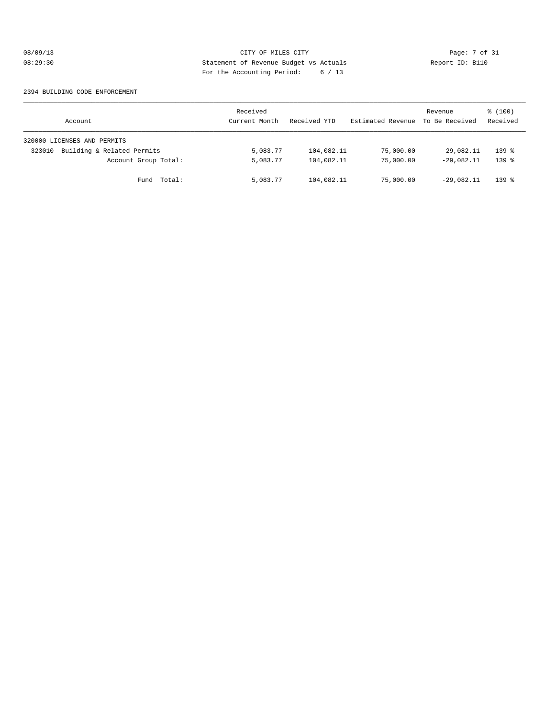# 08/09/13 CITY OF MILES CITY Page: 7 of 31 08:29:30 Statement of Revenue Budget vs Actuals Report ID: B110 For the Accounting Period: 6 / 13

#### 2394 BUILDING CODE ENFORCEMENT

| Account                              | Received<br>Current Month | Received YTD | Estimated Revenue | Revenue<br>To Be Received | \$(100)<br>Received |
|--------------------------------------|---------------------------|--------------|-------------------|---------------------------|---------------------|
| 320000 LICENSES AND PERMITS          |                           |              |                   |                           |                     |
| Building & Related Permits<br>323010 | 5,083.77                  | 104,082.11   | 75,000.00         | $-29.082.11$              | $139$ $%$           |
| Account Group Total:                 | 5,083.77                  | 104,082.11   | 75,000.00         | $-29.082.11$              | $139$ $%$           |
| Fund Total:                          | 5,083.77                  | 104,082.11   | 75,000.00         | $-29,082.11$              | $139$ $%$           |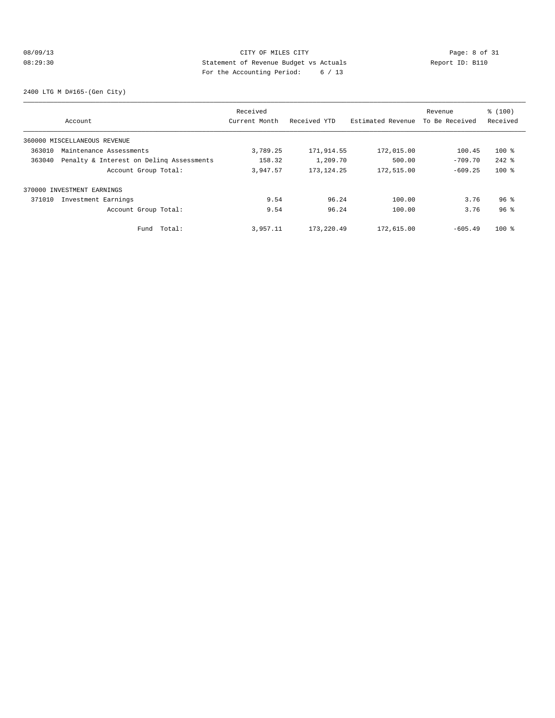# 08/09/13 CITY OF MILES CITY Page: 8 of 31 08:29:30 Statement of Revenue Budget vs Actuals Report ID: B110 For the Accounting Period: 6 / 13

2400 LTG M D#165-(Gen City)

|        |                                          | Received      |              |                   | Revenue        | % (100)         |
|--------|------------------------------------------|---------------|--------------|-------------------|----------------|-----------------|
|        | Account                                  | Current Month | Received YTD | Estimated Revenue | To Be Received | Received        |
|        | 360000 MISCELLANEOUS REVENUE             |               |              |                   |                |                 |
| 363010 | Maintenance Assessments                  | 3,789.25      | 171,914.55   | 172,015.00        | 100.45         | $100*$          |
| 363040 | Penalty & Interest on Deling Assessments | 158.32        | 1,209.70     | 500.00            | $-709.70$      | $242$ %         |
|        | Account Group Total:                     | 3,947.57      | 173, 124. 25 | 172,515.00        | $-609.25$      | $100*$          |
|        | 370000 INVESTMENT EARNINGS               |               |              |                   |                |                 |
| 371010 | Investment Earnings                      | 9.54          | 96.24        | 100.00            | 3.76           | $96$ %          |
|        | Account Group Total:                     | 9.54          | 96.24        | 100.00            | 3.76           | 96 <sup>8</sup> |
|        | Fund Total:                              | 3,957.11      | 173,220.49   | 172,615.00        | $-605.49$      | $100*$          |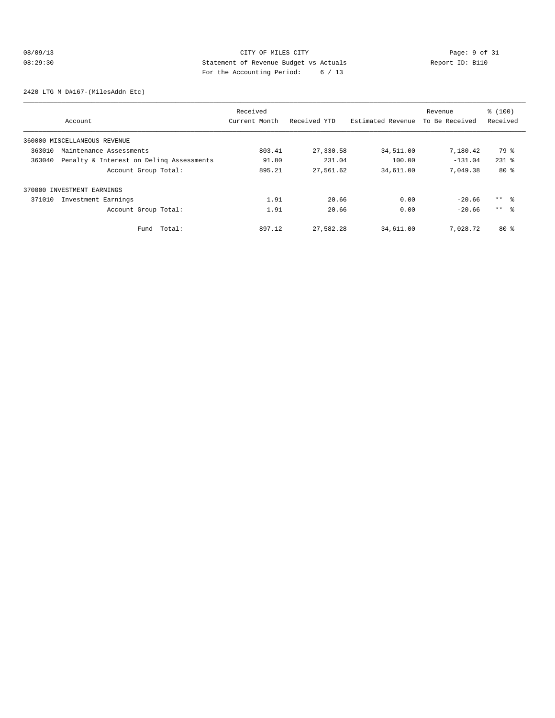# 08/09/13 Page: 9 of 31 08:29:30 Statement of Revenue Budget vs Actuals Report ID: B110 For the Accounting Period: 6 / 13

2420 LTG M D#167-(MilesAddn Etc)

|        |                                          | Received      |              |                   | Revenue        | % (100)         |
|--------|------------------------------------------|---------------|--------------|-------------------|----------------|-----------------|
|        | Account                                  | Current Month | Received YTD | Estimated Revenue | To Be Received | Received        |
|        | 360000 MISCELLANEOUS REVENUE             |               |              |                   |                |                 |
| 363010 | Maintenance Assessments                  | 803.41        | 27,330.58    | 34,511.00         | 7,180.42       | 79 %            |
| 363040 | Penalty & Interest on Deling Assessments | 91.80         | 231.04       | 100.00            | $-131.04$      | $231$ $%$       |
|        | Account Group Total:                     | 895.21        | 27,561.62    | 34,611.00         | 7,049.38       | $80*$           |
|        | 370000 INVESTMENT EARNINGS               |               |              |                   |                |                 |
| 371010 | Investment Earnings                      | 1.91          | 20.66        | 0.00              | $-20.66$       | $***$ $\approx$ |
|        | Account Group Total:                     | 1.91          | 20.66        | 0.00              | $-20.66$       | $***$ $\approx$ |
|        | Total:<br>Fund                           | 897.12        | 27,582.28    | 34,611.00         | 7,028.72       | 80%             |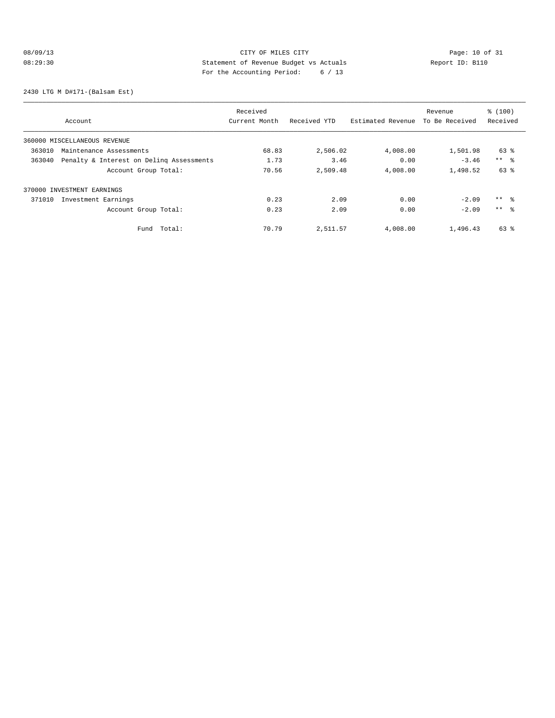# 08/09/13 CITY OF MILES CITY<br>
08:29:30 Statement of Revenue Budget vs Actuals<br>
Pay the Accounting Pavied: 6 (12 08:29:30 Statement of Revenue Budget vs Actuals Report ID: B110 For the Accounting Period: 6 / 13

2430 LTG M D#171-(Balsam Est)

|        |                                          | Received      |              |                   | Revenue        | % (100)         |
|--------|------------------------------------------|---------------|--------------|-------------------|----------------|-----------------|
|        | Account                                  | Current Month | Received YTD | Estimated Revenue | To Be Received | Received        |
|        | 360000 MISCELLANEOUS REVENUE             |               |              |                   |                |                 |
| 363010 | Maintenance Assessments                  | 68.83         | 2,506.02     | 4,008.00          | 1,501.98       | 63 %            |
| 363040 | Penalty & Interest on Deling Assessments | 1.73          | 3.46         | 0.00              | $-3.46$        | $***$ $ -$      |
|        | Account Group Total:                     | 70.56         | 2,509.48     | 4,008.00          | 1,498.52       | 63 %            |
|        | 370000 INVESTMENT EARNINGS               |               |              |                   |                |                 |
| 371010 | Investment Earnings                      | 0.23          | 2.09         | 0.00              | $-2.09$        | $***$ $\approx$ |
|        | Account Group Total:                     | 0.23          | 2.09         | 0.00              | $-2.09$        | $***$ $\approx$ |
|        | Total:<br>Fund                           | 70.79         | 2,511.57     | 4,008.00          | 1,496.43       | 63 %            |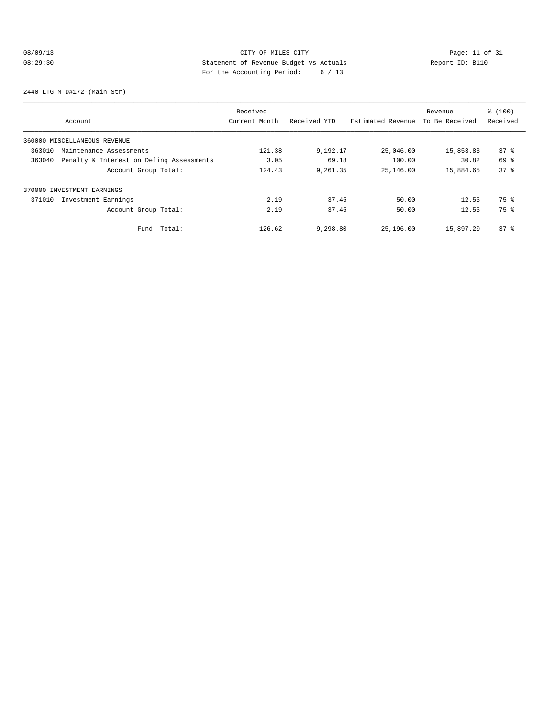# 08/09/13 CITY OF MILES CITY<br>
08:29:30 Statement of Revenue Budget vs Actuals<br>
Page: 11 of 31 Statement of Revenue Budget vs Actuals<br>
Page: 11 of 31 Statement of Revenue Budget vs Actuals 08:29:30 Statement of Revenue Budget vs Actuals Report ID: B110 For the Accounting Period: 6 / 13

2440 LTG M D#172-(Main Str)

|        |                                          | Received      |              |                   | Revenue        | % (100)  |
|--------|------------------------------------------|---------------|--------------|-------------------|----------------|----------|
|        | Account                                  | Current Month | Received YTD | Estimated Revenue | To Be Received | Received |
|        | 360000 MISCELLANEOUS REVENUE             |               |              |                   |                |          |
| 363010 | Maintenance Assessments                  | 121.38        | 9,192.17     | 25,046.00         | 15,853.83      | 378      |
| 363040 | Penalty & Interest on Deling Assessments | 3.05          | 69.18        | 100.00            | 30.82          | 69 %     |
|        | Account Group Total:                     | 124.43        | 9,261.35     | 25,146.00         | 15,884.65      | 378      |
|        | 370000 INVESTMENT EARNINGS               |               |              |                   |                |          |
| 371010 | Investment Earnings                      | 2.19          | 37.45        | 50.00             | 12.55          | 75 %     |
|        | Account Group Total:                     | 2.19          | 37.45        | 50.00             | 12.55          | 75 %     |
|        | Total:<br>Fund                           | 126.62        | 9,298.80     | 25,196.00         | 15,897.20      | 378      |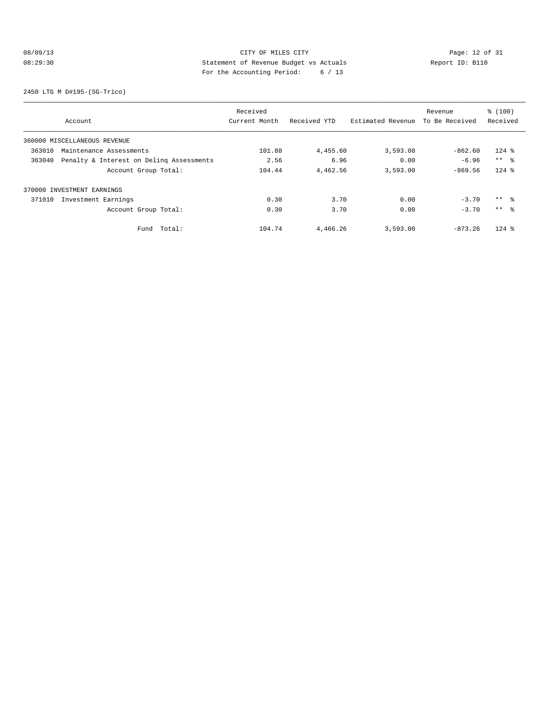# 08/09/13 Page: 12 of 31 08:29:30 **Statement of Revenue Budget vs Actuals** Report ID: B110 For the Accounting Period: 6 / 13

2450 LTG M D#195-(SG-Trico)

|        |                                          | Received      |              |                   | Revenue        | \$(100)    |
|--------|------------------------------------------|---------------|--------------|-------------------|----------------|------------|
|        | Account                                  | Current Month | Received YTD | Estimated Revenue | To Be Received | Received   |
|        | 360000 MISCELLANEOUS REVENUE             |               |              |                   |                |            |
| 363010 | Maintenance Assessments                  | 101.88        | 4,455.60     | 3,593.00          | $-862.60$      | $124$ %    |
| 363040 | Penalty & Interest on Deling Assessments | 2.56          | 6.96         | 0.00              | $-6.96$        | $***$ $ -$ |
|        | Account Group Total:                     | 104.44        | 4,462.56     | 3,593.00          | $-869.56$      | $124$ %    |
|        | 370000 INVESTMENT EARNINGS               |               |              |                   |                |            |
| 371010 | Investment Earnings                      | 0.30          | 3.70         | 0.00              | $-3.70$        | $***$ %    |
|        | Account Group Total:                     | 0.30          | 3.70         | 0.00              | $-3.70$        | $***$ 8    |
|        | Total:<br>Fund                           | 104.74        | 4,466.26     | 3,593.00          | $-873.26$      | $124$ %    |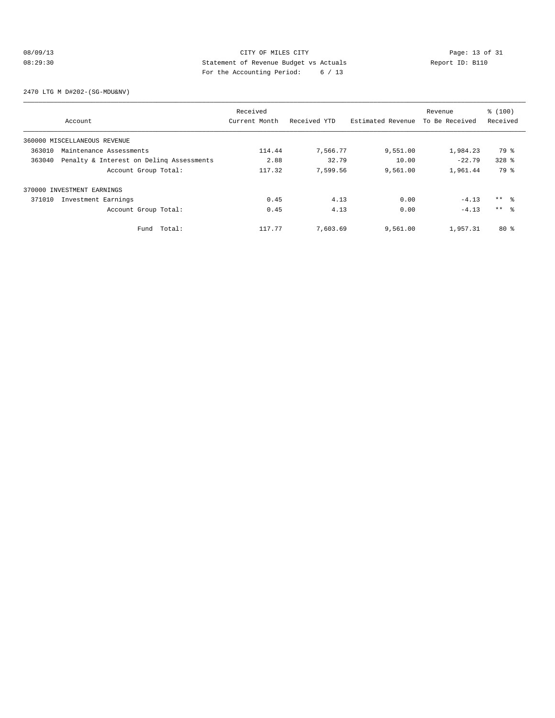# 08/09/13 Page: 13 of 31 CITY OF MILES CITY CHEMIC PAGE: 13 of 31 08:29:30 Statement of Revenue Budget vs Actuals Report ID: B110 For the Accounting Period: 6 / 13

2470 LTG M D#202-(SG-MDU&NV)

|        |                                          | Received      |              |                   | Revenue        | % (100)   |
|--------|------------------------------------------|---------------|--------------|-------------------|----------------|-----------|
|        | Account                                  | Current Month | Received YTD | Estimated Revenue | To Be Received | Received  |
|        | 360000 MISCELLANEOUS REVENUE             |               |              |                   |                |           |
| 363010 | Maintenance Assessments                  | 114.44        | 7,566.77     | 9,551.00          | 1,984.23       | 79 %      |
| 363040 | Penalty & Interest on Deling Assessments | 2.88          | 32.79        | 10.00             | $-22.79$       | $328$ $%$ |
|        | Account Group Total:                     | 117.32        | 7,599.56     | 9,561.00          | 1,961.44       | 79 %      |
|        | 370000 INVESTMENT EARNINGS               |               |              |                   |                |           |
| 371010 | Investment Earnings                      | 0.45          | 4.13         | 0.00              | $-4.13$        | ** 왕      |
|        | Account Group Total:                     | 0.45          | 4.13         | 0.00              | $-4.13$        | $***$ 8   |
|        | Fund Total:                              | 117.77        | 7,603.69     | 9,561.00          | 1,957.31       | $80*$     |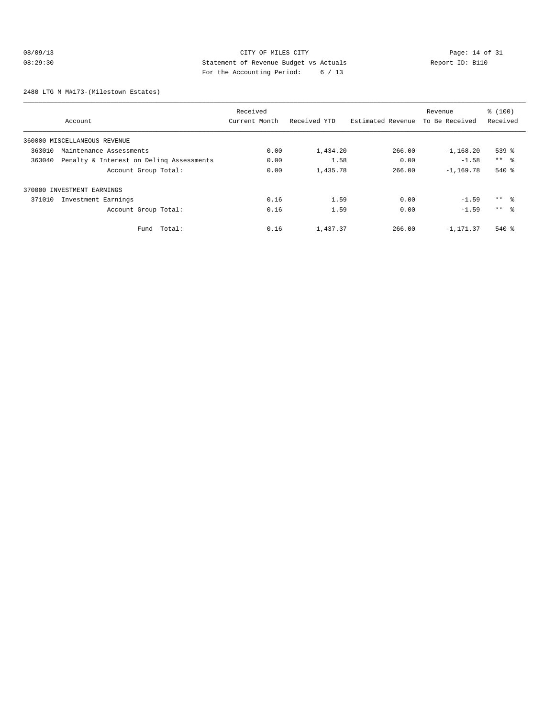# 08/09/13 Page: 14 of 31 08:29:30 Statement of Revenue Budget vs Actuals Report ID: B110 For the Accounting Period: 6 / 13

2480 LTG M M#173-(Milestown Estates)

|        |                                          | Received      |              |                   | Revenue        | % (100)         |
|--------|------------------------------------------|---------------|--------------|-------------------|----------------|-----------------|
|        | Account                                  | Current Month | Received YTD | Estimated Revenue | To Be Received | Received        |
|        | 360000 MISCELLANEOUS REVENUE             |               |              |                   |                |                 |
| 363010 | Maintenance Assessments                  | 0.00          | 1,434.20     | 266.00            | $-1, 168.20$   | 539 %           |
| 363040 | Penalty & Interest on Deling Assessments | 0.00          | 1.58         | 0.00              | $-1.58$        | $***$ $ -$      |
|        | Account Group Total:                     | 0.00          | 1,435.78     | 266.00            | $-1, 169, 78$  | $540*$          |
|        | 370000 INVESTMENT EARNINGS               |               |              |                   |                |                 |
| 371010 | Investment Earnings                      | 0.16          | 1.59         | 0.00              | $-1.59$        | $***$ $\approx$ |
|        | Account Group Total:                     | 0.16          | 1.59         | 0.00              | $-1.59$        | $***$ $\approx$ |
|        | Fund Total:                              | 0.16          | 1,437.37     | 266.00            | $-1.171.37$    | $540*$          |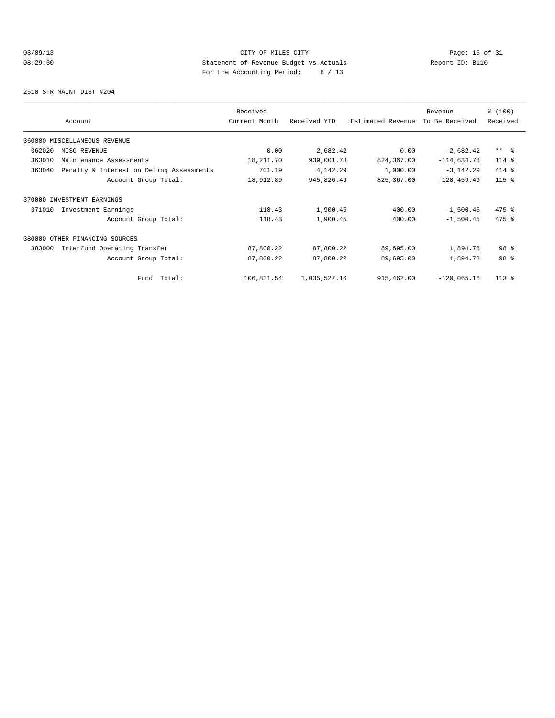# 08/09/13 Page: 15 of 31 08:29:30 Statement of Revenue Budget vs Actuals Report ID: B110 For the Accounting Period: 6 / 13

2510 STR MAINT DIST #204

|        | Account                                  | Received<br>Current Month | Received YTD | Estimated Revenue | Revenue<br>To Be Received | % (100)<br>Received |
|--------|------------------------------------------|---------------------------|--------------|-------------------|---------------------------|---------------------|
|        | 360000 MISCELLANEOUS REVENUE             |                           |              |                   |                           |                     |
| 362020 | MISC REVENUE                             | 0.00                      | 2,682.42     | 0.00              | $-2,682.42$               | $***$ $ -$          |
| 363010 | Maintenance Assessments                  | 18,211.70                 | 939,001.78   | 824,367.00        | $-114,634.78$             | 114 %               |
| 363040 | Penalty & Interest on Deling Assessments | 701.19                    | 4,142.29     | 1,000.00          | $-3,142.29$               | 414 %               |
|        | Account Group Total:                     | 18,912.89                 | 945,826.49   | 825, 367.00       | $-120, 459.49$            | $115$ %             |
|        | 370000 INVESTMENT EARNINGS               |                           |              |                   |                           |                     |
| 371010 | Investment Earnings                      | 118.43                    | 1,900.45     | 400.00            | $-1,500.45$               | 475 %               |
|        | Account Group Total:                     | 118.43                    | 1,900.45     | 400.00            | $-1,500.45$               | 475 %               |
|        | 380000 OTHER FINANCING SOURCES           |                           |              |                   |                           |                     |
| 383000 | Interfund Operating Transfer             | 87,800.22                 | 87,800.22    | 89,695.00         | 1,894.78                  | 98 %                |
|        | Account Group Total:                     | 87,800.22                 | 87,800.22    | 89,695.00         | 1,894.78                  | 98 %                |
|        | Total:<br>Fund                           | 106,831.54                | 1,035,527.16 | 915,462.00        | $-120,065.16$             | $113*$              |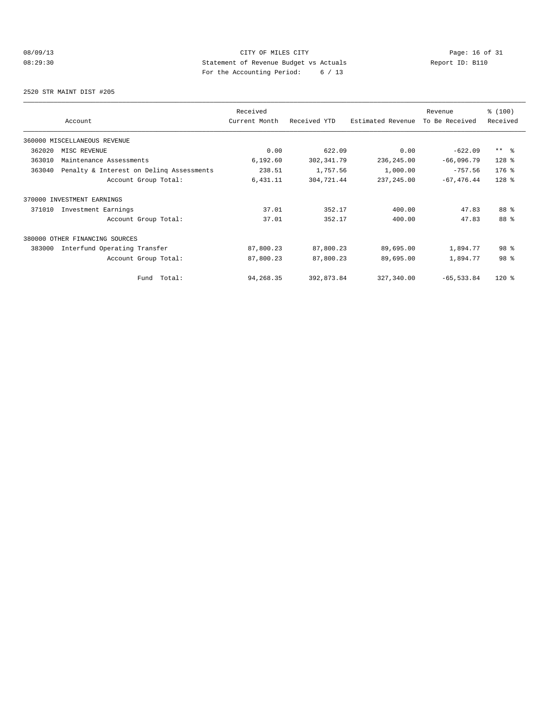# 08/09/13 Page: 16 of 31 08:29:30 Statement of Revenue Budget vs Actuals Report ID: B110 For the Accounting Period: 6 / 13

2520 STR MAINT DIST #205

|        | Account                                  | Received<br>Current Month | Received YTD | Estimated Revenue | Revenue<br>To Be Received | % (100)<br>Received |
|--------|------------------------------------------|---------------------------|--------------|-------------------|---------------------------|---------------------|
|        | 360000 MISCELLANEOUS REVENUE             |                           |              |                   |                           |                     |
| 362020 | MISC REVENUE                             | 0.00                      | 622.09       | 0.00              | $-622.09$                 | $***$ $ -$          |
| 363010 | Maintenance Assessments                  | 6,192.60                  | 302, 341.79  | 236,245.00        | $-66,096.79$              | $128$ %             |
| 363040 | Penalty & Interest on Deling Assessments | 238.51                    | 1,757.56     | 1,000.00          | $-757.56$                 | 176 %               |
|        | Account Group Total:                     | 6,431.11                  | 304,721.44   | 237, 245.00       | $-67, 476.44$             | 128 %               |
|        | 370000 INVESTMENT EARNINGS               |                           |              |                   |                           |                     |
| 371010 | Investment Earnings                      | 37.01                     | 352.17       | 400.00            | 47.83                     | 88 %                |
|        | Account Group Total:                     | 37.01                     | 352.17       | 400.00            | 47.83                     | 88 %                |
|        | 380000 OTHER FINANCING SOURCES           |                           |              |                   |                           |                     |
| 383000 | Interfund Operating Transfer             | 87,800.23                 | 87,800.23    | 89,695.00         | 1,894.77                  | 98 %                |
|        | Account Group Total:                     | 87,800.23                 | 87,800.23    | 89,695.00         | 1,894.77                  | 98 %                |
|        | Fund Total:                              | 94,268.35                 | 392,873.84   | 327,340.00        | $-65, 533.84$             | $120*$              |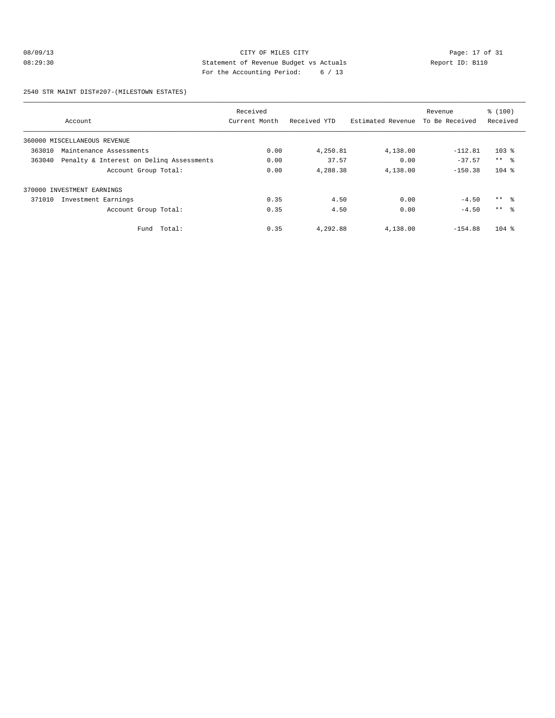# 08/09/13 Page: 17 of 31 CITY OF MILES CITY CHEMIC PAGE: 17 of 31 08:29:30 Statement of Revenue Budget vs Actuals Report ID: B110 For the Accounting Period: 6 / 13

2540 STR MAINT DIST#207-(MILESTOWN ESTATES)

|        |                                          | Received      |              |                   | Revenue        | % (100)         |
|--------|------------------------------------------|---------------|--------------|-------------------|----------------|-----------------|
|        | Account                                  | Current Month | Received YTD | Estimated Revenue | To Be Received | Received        |
|        | 360000 MISCELLANEOUS REVENUE             |               |              |                   |                |                 |
| 363010 | Maintenance Assessments                  | 0.00          | 4,250.81     | 4,138.00          | $-112.81$      | $103$ %         |
| 363040 | Penalty & Interest on Deling Assessments | 0.00          | 37.57        | 0.00              | $-37.57$       | $***$ $\approx$ |
|        | Account Group Total:                     | 0.00          | 4,288.38     | 4,138.00          | $-150.38$      | $104$ %         |
|        | 370000 INVESTMENT EARNINGS               |               |              |                   |                |                 |
| 371010 | Investment Earnings                      | 0.35          | 4.50         | 0.00              | $-4.50$        | $***$ $\approx$ |
|        | Account Group Total:                     | 0.35          | 4.50         | 0.00              | $-4.50$        | $***$ $\approx$ |
|        | Fund Total:                              | 0.35          | 4,292.88     | 4,138.00          | $-154.88$      | $104$ %         |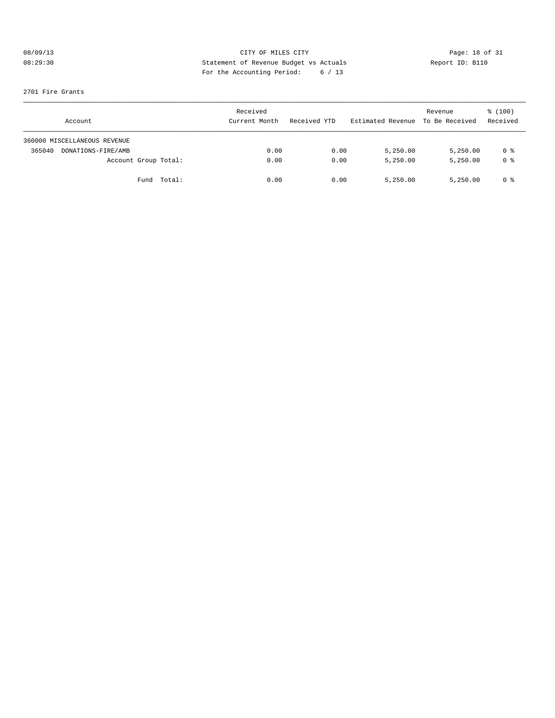# 08/09/13 Page: 18 of 31 08:29:30 Statement of Revenue Budget vs Actuals Report ID: B110 For the Accounting Period: 6 / 13

#### 2701 Fire Grants

| Account                      | Received<br>Current Month | Received YTD | Estimated Revenue | Revenue<br>To Be Received | \$(100)<br>Received |
|------------------------------|---------------------------|--------------|-------------------|---------------------------|---------------------|
| 360000 MISCELLANEOUS REVENUE |                           |              |                   |                           |                     |
| 365040<br>DONATIONS-FIRE/AMB | 0.00                      | 0.00         | 5,250.00          | 5,250.00                  | 0 %                 |
| Account Group Total:         | 0.00                      | 0.00         | 5,250.00          | 5,250.00                  | 0 <sup>8</sup>      |
| Total:<br>Fund               | 0.00                      | 0.00         | 5,250.00          | 5.250.00                  | 0 %                 |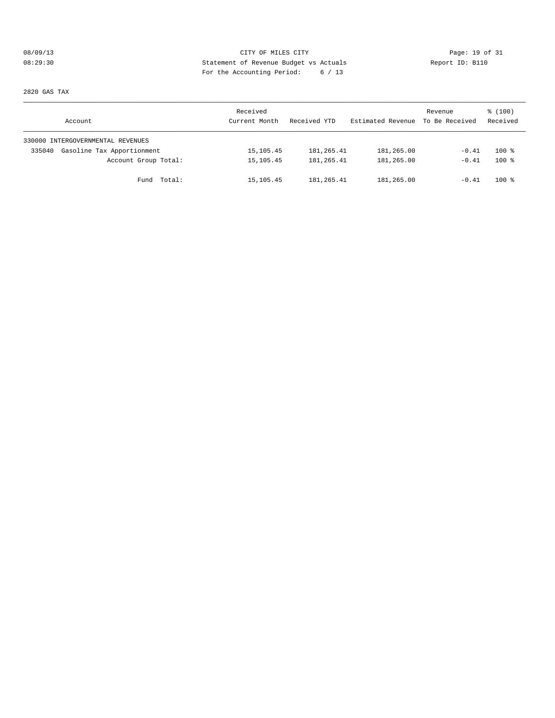# 08/09/13 Page: 19 of 31 08:29:30 Statement of Revenue Budget vs Actuals Report ID: B110 For the Accounting Period: 6 / 13

2820 GAS TAX

| Account                              | Received<br>Current Month | Received YTD | Estimated Revenue | Revenue<br>To Be Received | \$(100)<br>Received |
|--------------------------------------|---------------------------|--------------|-------------------|---------------------------|---------------------|
| 330000 INTERGOVERNMENTAL REVENUES    |                           |              |                   |                           |                     |
| Gasoline Tax Apportionment<br>335040 | 15, 105.45                | 181,265.41   | 181,265.00        | $-0.41$                   | $100*$              |
| Account Group Total:                 | 15, 105.45                | 181,265.41   | 181,265.00        | $-0.41$                   | $100*$              |
| Fund Total:                          | 15,105.45                 | 181, 265.41  | 181,265.00        | $-0.41$                   | $100*$              |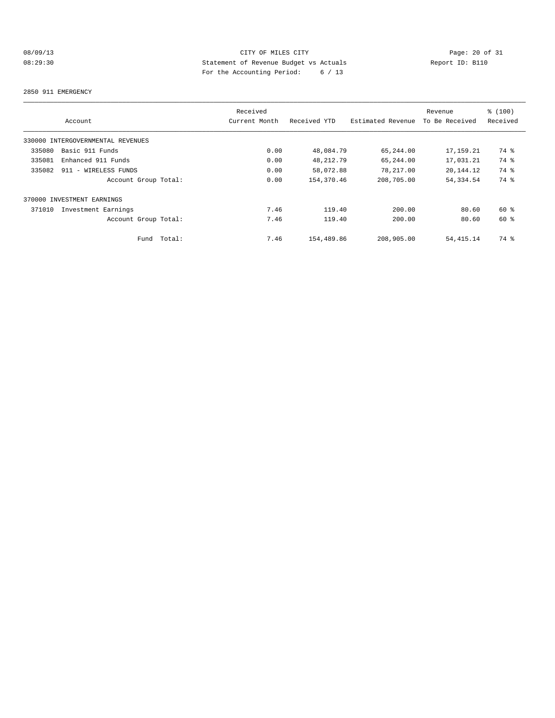# 08/09/13 Page: 20 of 31 08:29:30 Statement of Revenue Budget vs Actuals Report ID: B110 For the Accounting Period: 6 / 13

#### 2850 911 EMERGENCY

| Account                           | Received<br>Current Month | Received YTD | Estimated Revenue | Revenue<br>To Be Received | \$(100)<br>Received |
|-----------------------------------|---------------------------|--------------|-------------------|---------------------------|---------------------|
| 330000 INTERGOVERNMENTAL REVENUES |                           |              |                   |                           |                     |
| Basic 911 Funds<br>335080         | 0.00                      | 48,084.79    | 65,244.00         | 17,159.21                 | 74 %                |
|                                   |                           |              |                   |                           |                     |
| 335081<br>Enhanced 911 Funds      | 0.00                      | 48, 212.79   | 65,244.00         | 17,031.21                 | 74 %                |
| 335082<br>911 - WIRELESS FUNDS    | 0.00                      | 58,072.88    | 78,217.00         | 20,144.12                 | 74 %                |
| Account Group Total:              | 0.00                      | 154,370.46   | 208,705.00        | 54, 334.54                | 74 %                |
| 370000 INVESTMENT EARNINGS        |                           |              |                   |                           |                     |
| 371010<br>Investment Earnings     | 7.46                      | 119.40       | 200.00            | 80.60                     | $60*$               |
| Account Group Total:              | 7.46                      | 119.40       | 200.00            | 80.60                     | $60*$               |
| Total:<br>Fund                    | 7.46                      | 154,489.86   | 208,905.00        | 54, 415.14                | 74 %                |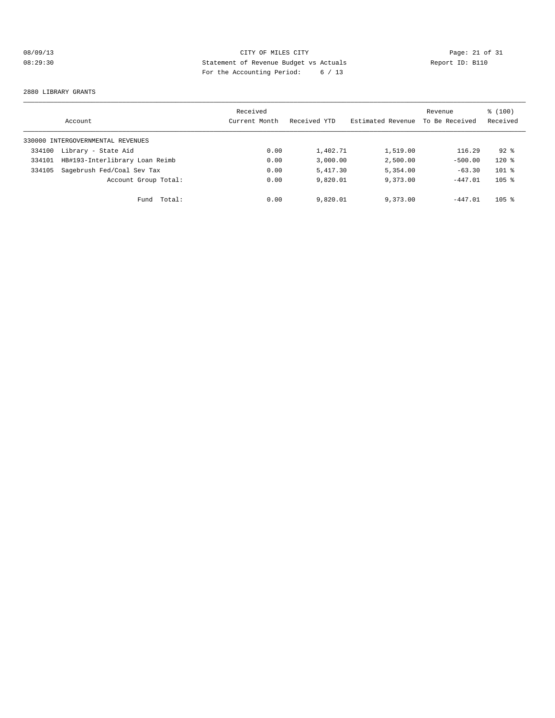# 08/09/13 Page: 21 of 31 CITY OF MILES CITY CHEMIC PAGE: 21 of 31 08:29:30 Statement of Revenue Budget vs Actuals Report ID: B110 For the Accounting Period: 6 / 13

#### 2880 LIBRARY GRANTS

|        | Account                           | Received<br>Current Month | Received YTD | Estimated Revenue | Revenue<br>To Be Received | % (100)<br>Received |
|--------|-----------------------------------|---------------------------|--------------|-------------------|---------------------------|---------------------|
|        | 330000 INTERGOVERNMENTAL REVENUES |                           |              |                   |                           |                     |
| 334100 | Library - State Aid               | 0.00                      | 1,402.71     | 1,519.00          | 116.29                    | $92*$               |
| 334101 | HB#193-Interlibrary Loan Reimb    | 0.00                      | 3.000.00     | 2,500.00          | $-500.00$                 | $120*$              |
| 334105 | Sagebrush Fed/Coal Sev Tax        | 0.00                      | 5,417.30     | 5,354.00          | $-63.30$                  | $101$ %             |
|        | Account Group Total:              | 0.00                      | 9,820.01     | 9,373.00          | $-447.01$                 | $105$ %             |
|        | Fund Total:                       | 0.00                      | 9,820.01     | 9,373.00          | $-447.01$                 | $105$ %             |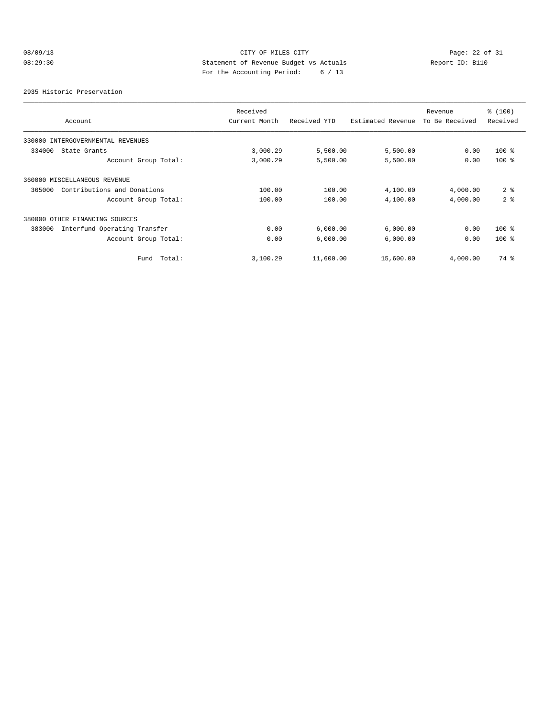# 08/09/13 Page: 22 of 31 08:29:30 Statement of Revenue Budget vs Actuals Report ID: B110 For the Accounting Period: 6 / 13

2935 Historic Preservation

|                                        | Received      |              |                   |                           | % (100)        |
|----------------------------------------|---------------|--------------|-------------------|---------------------------|----------------|
| Account                                | Current Month | Received YTD | Estimated Revenue | Revenue<br>To Be Received | Received       |
| 330000 INTERGOVERNMENTAL REVENUES      |               |              |                   |                           |                |
| 334000<br>State Grants                 | 3,000.29      | 5,500.00     | 5,500.00          | 0.00                      | $100*$         |
| Account Group Total:                   | 3,000.29      | 5,500.00     | 5,500.00          | 0.00                      | $100*$         |
| 360000 MISCELLANEOUS REVENUE           |               |              |                   |                           |                |
| Contributions and Donations<br>365000  | 100.00        | 100.00       | 4,100.00          | 4,000.00                  | 2 <sup>°</sup> |
| Account Group Total:                   | 100.00        | 100.00       | 4,100.00          | 4,000.00                  | 2 <sup>°</sup> |
| 380000 OTHER FINANCING SOURCES         |               |              |                   |                           |                |
| Interfund Operating Transfer<br>383000 | 0.00          | 6,000.00     | 6,000.00          | 0.00                      | $100*$         |
| Account Group Total:                   | 0.00          | 6,000.00     | 6,000.00          | 0.00                      | $100*$         |
| Total:<br>Fund                         | 3,100.29      | 11,600.00    | 15,600.00         | 4,000.00                  | 74 %           |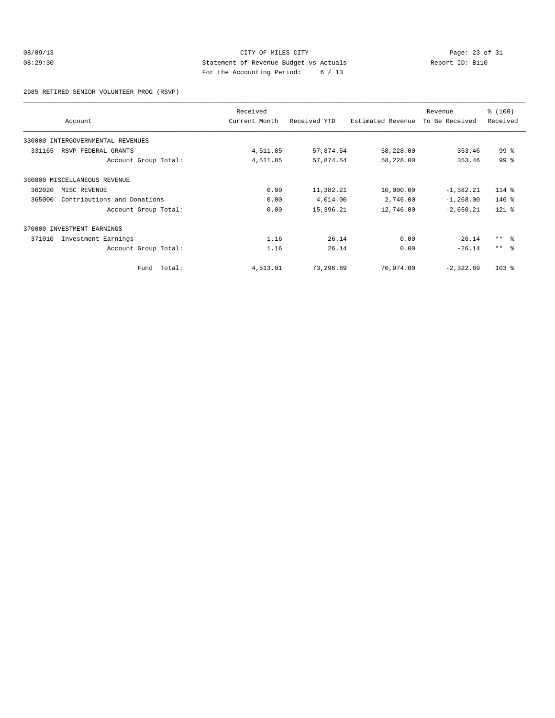# 08/09/13 Page: 23 of 31 08:29:30 Statement of Revenue Budget vs Actuals Report ID: B110 For the Accounting Period: 6 / 13

2985 RETIRED SENIOR VOLUNTEER PROG (RSVP)

|        | Account                           | Received<br>Current Month | Received YTD | Estimated Revenue | Revenue<br>To Be Received | \$(100)<br>Received |
|--------|-----------------------------------|---------------------------|--------------|-------------------|---------------------------|---------------------|
|        | 330000 INTERGOVERNMENTAL REVENUES |                           |              |                   |                           |                     |
| 331165 | RSVP FEDERAL GRANTS               | 4,511.85                  | 57,874.54    | 58,228.00         | 353.46                    | $99*$               |
|        | Account Group Total:              | 4,511.85                  | 57,874.54    | 58,228.00         | 353.46                    | 99 <sup>8</sup>     |
|        | 360000 MISCELLANEOUS REVENUE      |                           |              |                   |                           |                     |
| 362020 | MISC REVENUE                      | 0.00                      | 11,382.21    | 10,000.00         | $-1,382.21$               | 114 %               |
| 365000 | Contributions and Donations       | 0.00                      | 4,014.00     | 2,746.00          | $-1, 268.00$              | $146$ %             |
|        | Account Group Total:              | 0.00                      | 15,396.21    | 12,746.00         | $-2,650.21$               | $121$ %             |
|        | 370000 INVESTMENT EARNINGS        |                           |              |                   |                           |                     |
| 371010 | Investment Earnings               | 1.16                      | 26.14        | 0.00              | $-26.14$                  | $***$ $\approx$     |
|        | Account Group Total:              | 1.16                      | 26.14        | 0.00              | $-26.14$                  | $***$ $ -$          |
|        | Total:<br>Fund                    | 4,513.01                  | 73,296.89    | 70,974.00         | $-2,322.89$               | $103$ %             |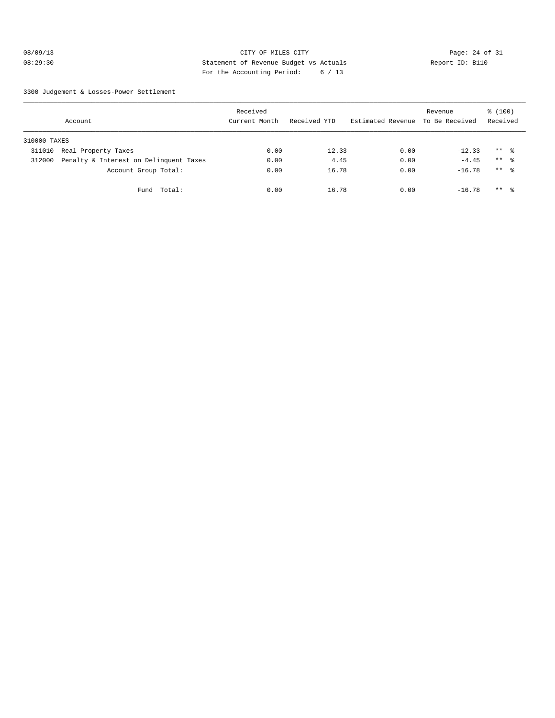# 08/09/13 Page: 24 of 31 08:29:30 Statement of Revenue Budget vs Actuals Report ID: B110 For the Accounting Period: 6 / 13

3300 Judgement & Losses-Power Settlement

|              | Account                                | Received<br>Current Month | Received YTD | Estimated Revenue To Be Received | Revenue  | \$(100)<br>Received |  |
|--------------|----------------------------------------|---------------------------|--------------|----------------------------------|----------|---------------------|--|
| 310000 TAXES |                                        |                           |              |                                  |          |                     |  |
| 311010       | Real Property Taxes                    | 0.00                      | 12.33        | 0.00                             | $-12.33$ | $***$ $\approx$     |  |
| 312000       | Penalty & Interest on Delinquent Taxes | 0.00                      | 4.45         | 0.00                             | $-4.45$  | $***$ $\approx$     |  |
|              | Account Group Total:                   | 0.00                      | 16.78        | 0.00                             | $-16.78$ | $***$ %             |  |
|              | Fund Total:                            | 0.00                      | 16.78        | 0.00                             | $-16.78$ | $***$ 8             |  |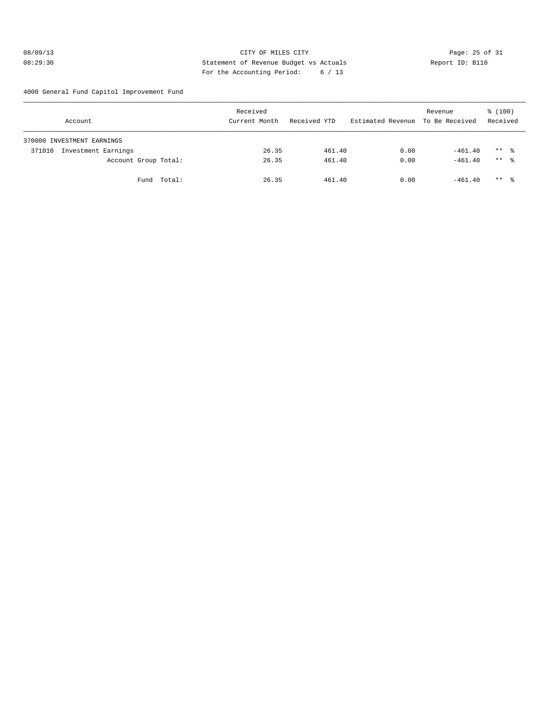#### 08/09/13 Page: 25 of 31 08:29:30 Statement of Revenue Budget vs Actuals Report ID: B110 For the Accounting Period: 6 / 13

4000 General Fund Capitol Improvement Fund

| Account                       | Received<br>Current Month | Received YTD | Estimated Revenue To Be Received | Revenue   | % (100)<br>Received |
|-------------------------------|---------------------------|--------------|----------------------------------|-----------|---------------------|
| 370000 INVESTMENT EARNINGS    |                           |              |                                  |           |                     |
| Investment Earnings<br>371010 | 26.35                     | 461.40       | 0.00                             | $-461.40$ | $***$ $\frac{6}{2}$ |
| Account Group Total:          | 26.35                     | 461.40       | 0.00                             | $-461.40$ | $***$ 8             |
| Fund Total:                   | 26.35                     | 461.40       | 0.00                             | $-461.40$ | $***$ $\frac{6}{2}$ |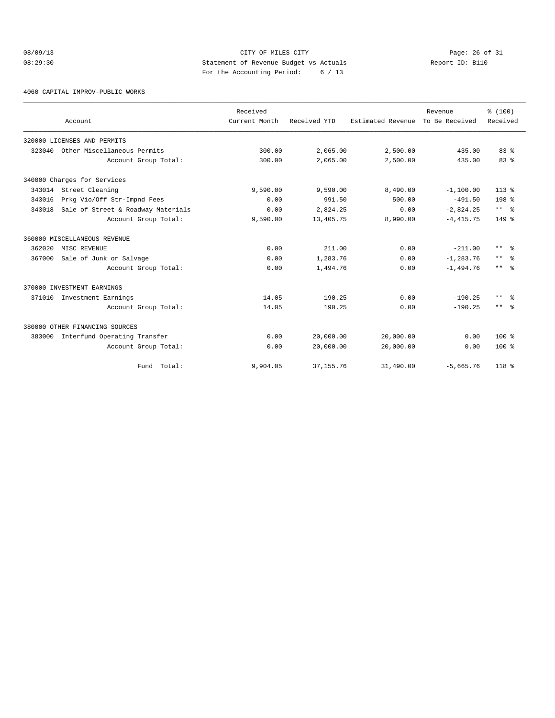# 08/09/13 Page: 26 of 31 08:29:30 Statement of Revenue Budget vs Actuals Report ID: B110 For the Accounting Period: 6 / 13

4060 CAPITAL IMPROV-PUBLIC WORKS

|        |                                    | Received      |              |                   | Revenue        | % (100)              |
|--------|------------------------------------|---------------|--------------|-------------------|----------------|----------------------|
|        | Account                            | Current Month | Received YTD | Estimated Revenue | To Be Received | Received             |
|        | 320000 LICENSES AND PERMITS        |               |              |                   |                |                      |
| 323040 | Other Miscellaneous Permits        | 300.00        | 2,065.00     | 2,500.00          | 435.00         | 83%                  |
|        | Account Group Total:               | 300.00        | 2,065.00     | 2,500.00          | 435.00         | 83%                  |
|        | 340000 Charges for Services        |               |              |                   |                |                      |
|        | 343014 Street Cleaning             | 9,590.00      | 9,590.00     | 8,490.00          | $-1,100.00$    | $113*$               |
| 343016 | Prkg Vio/Off Str-Impnd Fees        | 0.00          | 991.50       | 500.00            | $-491.50$      | 198 %                |
| 343018 | Sale of Street & Roadway Materials | 0.00          | 2,824.25     | 0.00              | $-2,824.25$    | $***$ $ \frac{6}{6}$ |
|        | Account Group Total:               | 9,590.00      | 13,405.75    | 8,990.00          | $-4, 415.75$   | $149$ %              |
|        | 360000 MISCELLANEOUS REVENUE       |               |              |                   |                |                      |
| 362020 | MISC REVENUE                       | 0.00          | 211.00       | 0.00              | $-211.00$      | $***$ $\approx$      |
| 367000 | Sale of Junk or Salvage            | 0.00          | 1,283.76     | 0.00              | $-1, 283.76$   | $***$<br>ം ക         |
|        | Account Group Total:               | 0.00          | 1,494.76     | 0.00              | $-1,494.76$    | $***$ $ -$           |
|        | 370000 INVESTMENT EARNINGS         |               |              |                   |                |                      |
|        | 371010 Investment Earnings         | 14.05         | 190.25       | 0.00              | $-190.25$      | $***$ $\approx$      |
|        | Account Group Total:               | 14.05         | 190.25       | 0.00              | $-190.25$      | $***$ $ \frac{6}{6}$ |
|        | 380000 OTHER FINANCING SOURCES     |               |              |                   |                |                      |
| 383000 | Interfund Operating Transfer       | 0.00          | 20,000.00    | 20,000.00         | 0.00           | $100*$               |
|        | Account Group Total:               | 0.00          | 20,000.00    | 20,000.00         | 0.00           | $100*$               |
|        | Fund Total:                        | 9,904.05      | 37, 155.76   | 31,490.00         | $-5,665.76$    | 118 %                |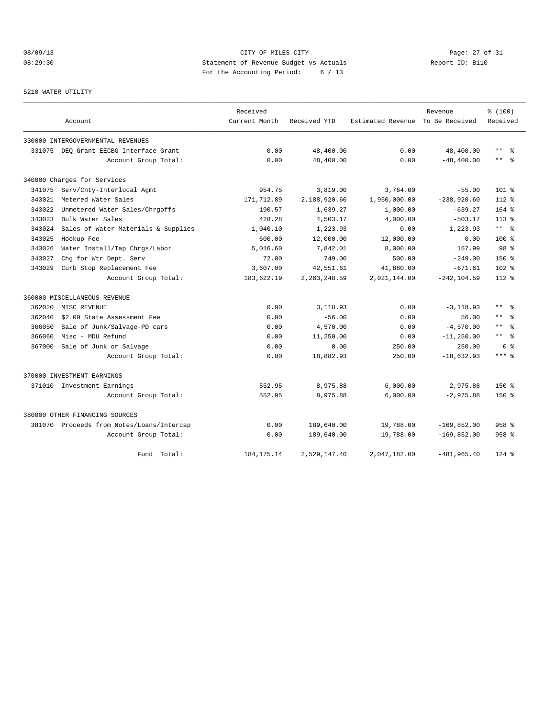# 08/09/13 Page: 27 of 31 08:29:30 Statement of Revenue Budget vs Actuals Report ID: B110 For the Accounting Period: 6 / 13

#### 5210 WATER UTILITY

|        |                                           | Received      |                |                   | Revenue        | % (100)                    |
|--------|-------------------------------------------|---------------|----------------|-------------------|----------------|----------------------------|
|        | Account                                   | Current Month | Received YTD   | Estimated Revenue | To Be Received | Received                   |
|        | 330000 INTERGOVERNMENTAL REVENUES         |               |                |                   |                |                            |
|        | 331075 DEQ Grant-EECBG Interface Grant    | 0.00          | 48,400.00      | 0.00              | $-48, 400.00$  | $\star\star$<br>ွေ         |
|        | Account Group Total:                      | 0.00          | 48,400.00      | 0.00              | $-48, 400.00$  | $\star\star$<br>- 옹        |
|        | 340000 Charges for Services               |               |                |                   |                |                            |
| 341075 | Serv/Cnty-Interlocal Agmt                 | 954.75        | 3,819.00       | 3,764.00          | $-55.00$       | $101*$                     |
| 343021 | Metered Water Sales                       | 171,712.89    | 2,188,920.60   | 1,950,000.00      | $-238,920.60$  | $112*$                     |
| 343022 | Unmetered Water Sales/Chrgoffs            | 190.57        | 1,639.27       | 1,000.00          | $-639.27$      | $164$ $%$                  |
| 343023 | Bulk Water Sales                          | 428.28        | 4,503.17       | 4,000.00          | $-503.17$      | $113*$                     |
| 343024 | Sales of Water Materials & Supplies       | 1,040.10      | 1,223.93       | 0.00              | $-1, 223.93$   | $***$ %                    |
| 343025 | Hookup Fee                                | 600.00        | 12,000.00      | 12,000.00         | 0.00           | $100*$                     |
| 343026 | Water Install/Tap Chrgs/Labor             | 5,016.60      | 7,842.01       | 8,000.00          | 157.99         | 98 <sup>8</sup>            |
| 343027 | Chg for Wtr Dept. Serv                    | 72.00         | 749.00         | 500.00            | $-249.00$      | $150*$                     |
| 343029 | Curb Stop Replacement Fee                 | 3,607.00      | 42,551.61      | 41,880.00         | $-671.61$      | $102*$                     |
|        | Account Group Total:                      | 183,622.19    | 2, 263, 248.59 | 2,021,144.00      | $-242, 104.59$ | $112*$                     |
|        | 360000 MISCELLANEOUS REVENUE              |               |                |                   |                |                            |
| 362020 | MISC REVENUE                              | 0.00          | 3,118.93       | 0.00              | $-3, 118.93$   | $***$<br>ু ≳               |
| 362040 | \$2.00 State Assessment Fee               | 0.00          | $-56.00$       | 0.00              | 56.00          | $\star\star$               |
| 366050 | Sale of Junk/Salvage-PD cars              | 0.00          | 4,570.00       | 0.00              | $-4,570.00$    | $\star \star$<br>$\approx$ |
| 366060 | Misc - MDU Refund                         | 0.00          | 11,250.00      | 0.00              | $-11, 250.00$  | $***$ %                    |
| 367000 | Sale of Junk or Salvage                   | 0.00          | 0.00           | 250.00            | 250.00         | 0 %                        |
|        | Account Group Total:                      | 0.00          | 18,882.93      | 250.00            | $-18,632.93$   | $***$ $%$                  |
|        | 370000 INVESTMENT EARNINGS                |               |                |                   |                |                            |
|        | 371010 Investment Earnings                | 552.95        | 8,975.88       | 6,000.00          | $-2,975.88$    | $150*$                     |
|        | Account Group Total:                      | 552.95        | 8,975.88       | 6,000.00          | $-2,975.88$    | $150*$                     |
|        | 380000 OTHER FINANCING SOURCES            |               |                |                   |                |                            |
|        | 381070 Proceeds from Notes/Loans/Intercap | 0.00          | 189,640.00     | 19,788.00         | $-169,852.00$  | $958$ %                    |
|        | Account Group Total:                      | 0.00          | 189,640.00     | 19,788.00         | $-169,852.00$  | $958$ %                    |
|        | Fund Total:                               | 184, 175. 14  | 2,529,147.40   | 2,047,182.00      | $-481,965.40$  | $124$ %                    |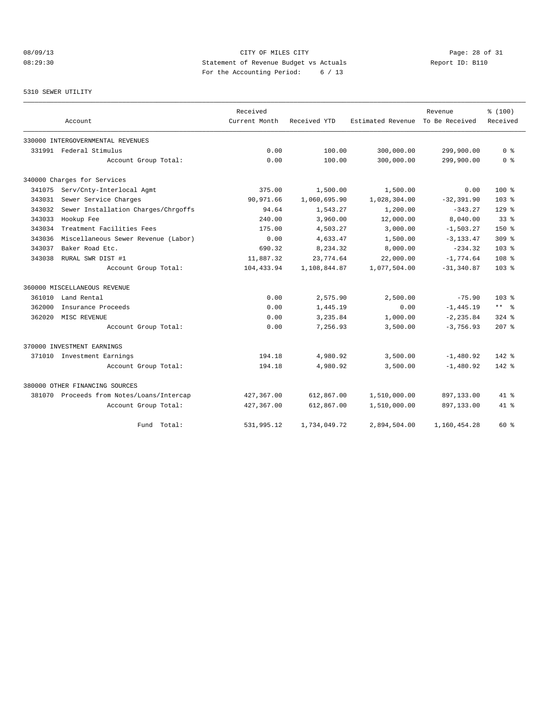# 08/09/13 Page: 28 of 31 08:29:30 Statement of Revenue Budget vs Actuals Report ID: B110 For the Accounting Period: 6 / 13

#### 5310 SEWER UTILITY

|        |                                           | Received      |              | Revenue           |                | % (100)          |
|--------|-------------------------------------------|---------------|--------------|-------------------|----------------|------------------|
|        | Account                                   | Current Month | Received YTD | Estimated Revenue | To Be Received | Received         |
|        | 330000 INTERGOVERNMENTAL REVENUES         |               |              |                   |                |                  |
|        | 331991 Federal Stimulus                   | 0.00          | 100.00       | 300,000.00        | 299,900.00     | 0 <sup>8</sup>   |
|        | Account Group Total:                      | 0.00          | 100.00       | 300,000.00        | 299,900.00     | 0 <sup>8</sup>   |
|        | 340000 Charges for Services               |               |              |                   |                |                  |
| 341075 | Serv/Cnty-Interlocal Agmt                 | 375.00        | 1,500.00     | 1,500.00          | 0.00           | $100*$           |
| 343031 | Sewer Service Charges                     | 90,971.66     | 1,060,695.90 | 1,028,304.00      | $-32, 391.90$  | 103 <sub>8</sub> |
| 343032 | Sewer Installation Charges/Chrgoffs       | 94.64         | 1,543.27     | 1,200.00          | $-343.27$      | $129$ %          |
| 343033 | Hookup Fee                                | 240.00        | 3,960.00     | 12,000.00         | 8,040.00       | 33 <sup>8</sup>  |
| 343034 | Treatment Facilities Fees                 | 175.00        | 4,503.27     | 3,000.00          | $-1,503.27$    | $150*$           |
| 343036 | Miscellaneous Sewer Revenue (Labor)       | 0.00          | 4,633.47     | 1,500.00          | $-3, 133.47$   | 309 <sup>8</sup> |
| 343037 | Baker Road Etc.                           | 690.32        | 8,234.32     | 8,000.00          | $-234.32$      | $103*$           |
| 343038 | RURAL SWR DIST #1                         | 11,887.32     | 23,774.64    | 22,000.00         | $-1,774.64$    | 108 <sup>8</sup> |
|        | Account Group Total:                      | 104,433.94    | 1,108,844.87 | 1,077,504.00      | $-31, 340.87$  | 103 <sub>8</sub> |
|        | 360000 MISCELLANEOUS REVENUE              |               |              |                   |                |                  |
| 361010 | Land Rental                               | 0.00          | 2,575.90     | 2,500.00          | $-75.90$       | $103*$           |
| 362000 | Insurance Proceeds                        | 0.00          | 1,445.19     | 0.00              | $-1, 445.19$   | $***$ %          |
| 362020 | MISC REVENUE                              | 0.00          | 3,235.84     | 1,000.00          | $-2, 235.84$   | $324$ $%$        |
|        | Account Group Total:                      | 0.00          | 7,256.93     | 3,500.00          | $-3,756.93$    | $207*$           |
|        | 370000 INVESTMENT EARNINGS                |               |              |                   |                |                  |
|        | 371010 Investment Earnings                | 194.18        | 4,980.92     | 3,500.00          | $-1,480.92$    | $142*$           |
|        | Account Group Total:                      | 194.18        | 4,980.92     | 3,500.00          | $-1,480.92$    | $142*$           |
|        | 380000 OTHER FINANCING SOURCES            |               |              |                   |                |                  |
|        | 381070 Proceeds from Notes/Loans/Intercap | 427,367.00    | 612,867.00   | 1,510,000.00      | 897,133.00     | 41 %             |
|        | Account Group Total:                      | 427,367.00    | 612,867.00   | 1,510,000.00      | 897,133.00     | $41*$            |
|        | Total:<br>Fund                            | 531,995.12    | 1,734,049.72 | 2,894,504.00      | 1,160,454.28   | $60*$            |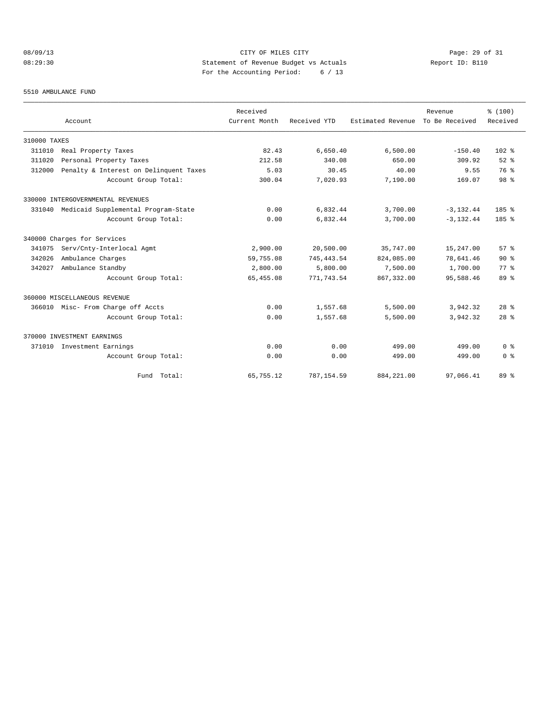# 08/09/13 Page: 29 of 31 08:29:30 Statement of Revenue Budget vs Actuals Report ID: B110 For the Accounting Period: 6 / 13

#### 5510 AMBULANCE FUND

|              | Account                                | Received<br>Current Month | Received YTD | Estimated Revenue | Revenue<br>To Be Received | % (100)<br>Received |
|--------------|----------------------------------------|---------------------------|--------------|-------------------|---------------------------|---------------------|
| 310000 TAXES |                                        |                           |              |                   |                           |                     |
| 311010       | Real Property Taxes                    | 82.43                     | 6,650.40     | 6,500.00          | $-150.40$                 | $102$ %             |
| 311020       | Personal Property Taxes                | 212.58                    | 340.08       | 650.00            | 309.92                    | $52$ $%$            |
| 312000       | Penalty & Interest on Delinquent Taxes | 5.03                      | 30.45        | 40.00             | 9.55                      | 76 %                |
|              | Account Group Total:                   | 300.04                    | 7.020.93     | 7,190.00          | 169.07                    | 98 %                |
|              | 330000 INTERGOVERNMENTAL REVENUES      |                           |              |                   |                           |                     |
| 331040       | Medicaid Supplemental Program-State    | 0.00                      | 6,832.44     | 3,700.00          | $-3, 132.44$              | 185%                |
|              | Account Group Total:                   | 0.00                      | 6,832.44     | 3,700.00          | $-3.132.44$               | 185%                |
|              | 340000 Charges for Services            |                           |              |                   |                           |                     |
| 341075       | Serv/Cnty-Interlocal Agmt              | 2,900.00                  | 20,500.00    | 35,747.00         | 15,247.00                 | 57%                 |
| 342026       | Ambulance Charges                      | 59,755.08                 | 745, 443.54  | 824,085.00        | 78,641.46                 | $90*$               |
| 342027       | Ambulance Standby                      | 2,800.00                  | 5,800.00     | 7,500.00          | 1,700.00                  | $77*$               |
|              | Account Group Total:                   | 65, 455.08                | 771,743.54   | 867, 332, 00      | 95,588.46                 | 89 %                |
|              | 360000 MISCELLANEOUS REVENUE           |                           |              |                   |                           |                     |
|              | 366010 Misc- From Charge off Accts     | 0.00                      | 1,557.68     | 5,500.00          | 3,942.32                  | $28$ $%$            |
|              | Account Group Total:                   | 0.00                      | 1,557.68     | 5,500.00          | 3,942.32                  | 28 <sup>8</sup>     |
|              | 370000 INVESTMENT EARNINGS             |                           |              |                   |                           |                     |
| 371010       | Investment Earnings                    | 0.00                      | 0.00         | 499.00            | 499.00                    | 0 <sup>8</sup>      |
|              | Account Group Total:                   | 0.00                      | 0.00         | 499.00            | 499.00                    | 0 <sup>8</sup>      |
|              | Fund Total:                            | 65,755.12                 | 787,154.59   | 884, 221.00       | 97,066.41                 | 89 %                |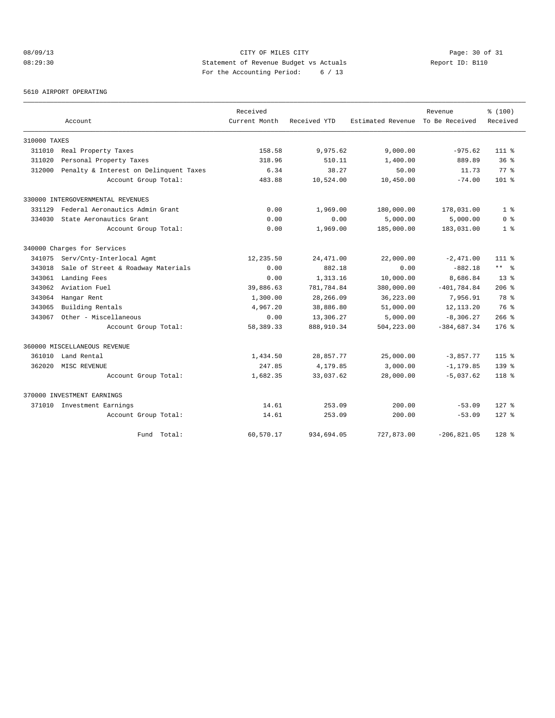# 08/09/13 Page: 30 of 31 08:29:30 Statement of Revenue Budget vs Actuals Report ID: B110 For the Accounting Period: 6 / 13

#### 5610 AIRPORT OPERATING

|              |                                        | Received      |              |                   | Revenue        |                 |
|--------------|----------------------------------------|---------------|--------------|-------------------|----------------|-----------------|
|              | Account                                | Current Month | Received YTD | Estimated Revenue | To Be Received | Received        |
| 310000 TAXES |                                        |               |              |                   |                |                 |
| 311010       | Real Property Taxes                    | 158.58        | 9,975.62     | 9,000.00          | $-975.62$      | $111*$          |
| 311020       | Personal Property Taxes                | 318.96        | 510.11       | 1,400.00          | 889.89         | 36%             |
| 312000       | Penalty & Interest on Delinquent Taxes | 6.34          | 38.27        | 50.00             | 11.73          | 77.8            |
|              | Account Group Total:                   | 483.88        | 10,524.00    | 10,450.00         | $-74.00$       | $101$ %         |
|              | 330000 INTERGOVERNMENTAL REVENUES      |               |              |                   |                |                 |
| 331129       | Federal Aeronautics Admin Grant        | 0.00          | 1,969.00     | 180,000.00        | 178,031.00     | 1 <sup>8</sup>  |
| 334030       | State Aeronautics Grant                | 0.00          | 0.00         | 5,000.00          | 5,000.00       | 0 <sup>8</sup>  |
|              | Account Group Total:                   | 0.00          | 1,969.00     | 185,000.00        | 183,031.00     | 1 <sup>8</sup>  |
|              | 340000 Charges for Services            |               |              |                   |                |                 |
| 341075       | Serv/Cnty-Interlocal Agmt              | 12,235.50     | 24, 471.00   | 22,000.00         | $-2,471.00$    | $111*$          |
| 343018       | Sale of Street & Roadway Materials     | 0.00          | 882.18       | 0.00              | $-882.18$      | $***$ $%$       |
| 343061       | Landing Fees                           | 0.00          | 1,313.16     | 10,000.00         | 8,686.84       | 13 <sup>8</sup> |
| 343062       | Aviation Fuel                          | 39,886.63     | 781,784.84   | 380,000.00        | $-401, 784.84$ | $206$ $%$       |
| 343064       | Hangar Rent                            | 1,300.00      | 28,266.09    | 36, 223, 00       | 7,956.91       | 78 %            |
| 343065       | Building Rentals                       | 4,967.20      | 38,886.80    | 51,000.00         | 12, 113. 20    | 76 %            |
| 343067       | Other - Miscellaneous                  | 0.00          | 13,306.27    | 5,000.00          | $-8,306.27$    | $266$ %         |
|              | Account Group Total:                   | 58,389.33     | 888,910.34   | 504,223.00        | $-384,687.34$  | $176$ %         |
|              | 360000 MISCELLANEOUS REVENUE           |               |              |                   |                |                 |
| 361010       | Land Rental                            | 1,434.50      | 28,857.77    | 25,000.00         | $-3,857.77$    | $115$ %         |
| 362020       | MISC REVENUE                           | 247.85        | 4,179.85     | 3,000.00          | $-1, 179.85$   | $139*$          |
|              | Account Group Total:                   | 1,682.35      | 33,037.62    | 28,000.00         | $-5,037.62$    | $118*$          |
|              | 370000 INVESTMENT EARNINGS             |               |              |                   |                |                 |
|              | 371010 Investment Earnings             | 14.61         | 253.09       | 200.00            | $-53.09$       | $127$ %         |
|              | Account Group Total:                   | 14.61         | 253.09       | 200.00            | $-53.09$       | $127$ %         |
|              | Total:<br>Fund                         | 60,570.17     | 934,694.05   | 727,873.00        | $-206, 821.05$ | $128$ %         |